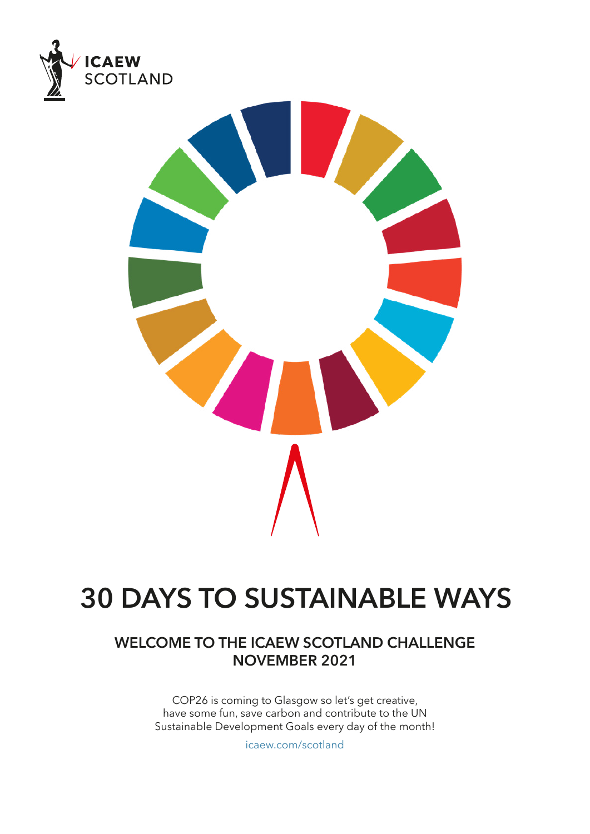



## **30 DAYS TO SUSTAINABLE WAYS**

## **WELCOME TO THE ICAEW SCOTLAND CHALLENGE NOVEMBER 2021**

COP26 is coming to Glasgow so let's get creative, have some fun, save carbon and contribute to the UN Sustainable Development Goals every day of the month!

[icaew.com/scotland](https://www.icaew.com/scotland)